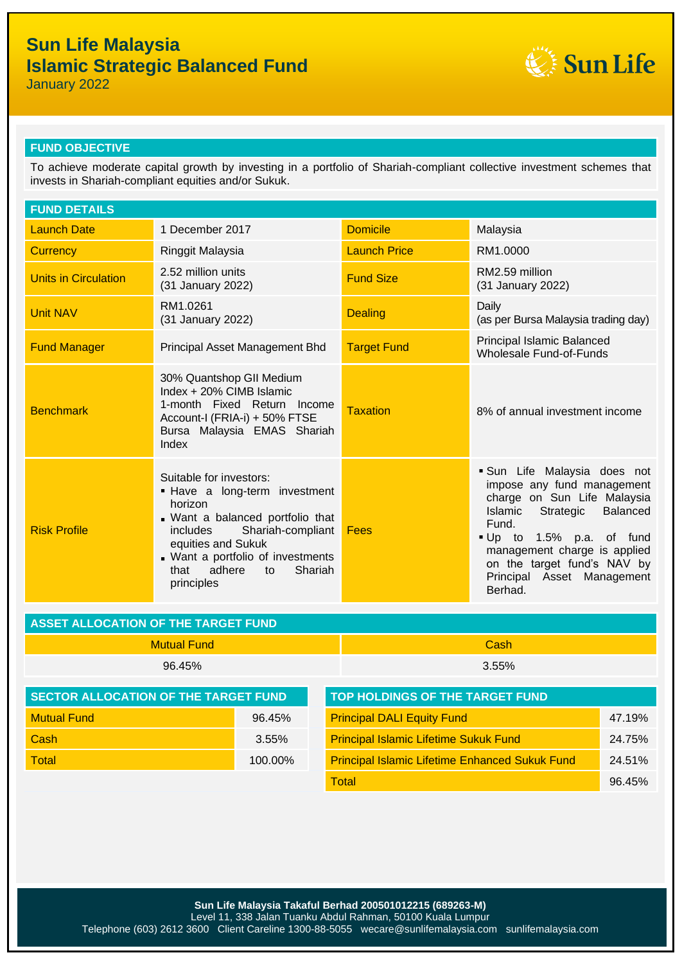# **Sun Life Malaysia Islamic Strategic Balanced Fund**



January 2022

## **FUND OBJECTIVE**

To achieve moderate capital growth by investing in a portfolio of Shariah-compliant collective investment schemes that invests in Shariah-compliant equities and/or Sukuk.

| <b>FUND DETAILS</b>         |                                                                                                                                                                                                                                                      |                     |                                                                                                                                                                                                                                                                                |  |
|-----------------------------|------------------------------------------------------------------------------------------------------------------------------------------------------------------------------------------------------------------------------------------------------|---------------------|--------------------------------------------------------------------------------------------------------------------------------------------------------------------------------------------------------------------------------------------------------------------------------|--|
| <b>Launch Date</b>          | 1 December 2017                                                                                                                                                                                                                                      | <b>Domicile</b>     | Malaysia                                                                                                                                                                                                                                                                       |  |
| <b>Currency</b>             | Ringgit Malaysia                                                                                                                                                                                                                                     | <b>Launch Price</b> | RM1.0000                                                                                                                                                                                                                                                                       |  |
| <b>Units in Circulation</b> | 2.52 million units<br>(31 January 2022)                                                                                                                                                                                                              | <b>Fund Size</b>    | RM2.59 million<br>(31 January 2022)                                                                                                                                                                                                                                            |  |
| <b>Unit NAV</b>             | RM1.0261<br>(31 January 2022)                                                                                                                                                                                                                        | <b>Dealing</b>      | Daily<br>(as per Bursa Malaysia trading day)                                                                                                                                                                                                                                   |  |
| <b>Fund Manager</b>         | Principal Asset Management Bhd                                                                                                                                                                                                                       | <b>Target Fund</b>  | Principal Islamic Balanced<br><b>Wholesale Fund-of-Funds</b>                                                                                                                                                                                                                   |  |
| <b>Benchmark</b>            | 30% Quantshop GII Medium<br>Index + 20% CIMB Islamic<br>1-month Fixed Return Income<br>Account-I (FRIA-i) + 50% FTSE<br>Bursa Malaysia EMAS Shariah<br>Index                                                                                         | <b>Taxation</b>     | 8% of annual investment income                                                                                                                                                                                                                                                 |  |
| <b>Risk Profile</b>         | Suitable for investors:<br>. Have a long-term investment<br>horizon<br>. Want a balanced portfolio that<br>Shariah-compliant<br>includes<br>equities and Sukuk<br>. Want a portfolio of investments<br>adhere<br>Shariah<br>that<br>to<br>principles | Fees                | Sun Life Malaysia does not<br>impose any fund management<br>charge on Sun Life Malaysia<br>Islamic<br><b>Balanced</b><br>Strategic<br>Fund.<br>Up to 1.5% p.a. of fund<br>management charge is applied<br>on the target fund's NAV by<br>Principal Asset Management<br>Berhad. |  |

| ASSET ALLOCATION OF THE TARGET FUND |             |  |
|-------------------------------------|-------------|--|
| -Mutual Fund                        | <b>Cash</b> |  |
| 96.45%                              | 3.55%       |  |

| <b>SECTOR ALLOCATION OF THE TARGET FUND</b> |         | <b>TOP HOLDINGS OF THE TARGET FUND</b>                |        |  |
|---------------------------------------------|---------|-------------------------------------------------------|--------|--|
| <b>Mutual Fund</b>                          | 96.45%  | <b>Principal DALI Equity Fund</b>                     | 47.19% |  |
| Cash                                        | 3.55%   | <b>Principal Islamic Lifetime Sukuk Fund</b>          | 24.75% |  |
| <b>Total</b>                                | 100.00% | <b>Principal Islamic Lifetime Enhanced Sukuk Fund</b> | 24.51% |  |
|                                             |         | Total                                                 | 96.45% |  |

**Sun Life Malaysia Takaful Berhad 200501012215 (689263-M)** Level 11, 338 Jalan Tuanku Abdul Rahman, 50100 Kuala Lumpur Telephone (603) 2612 3600 Client Careline 1300-88-5055 wecare@sunlifemalaysia.com sunlifemalaysia.com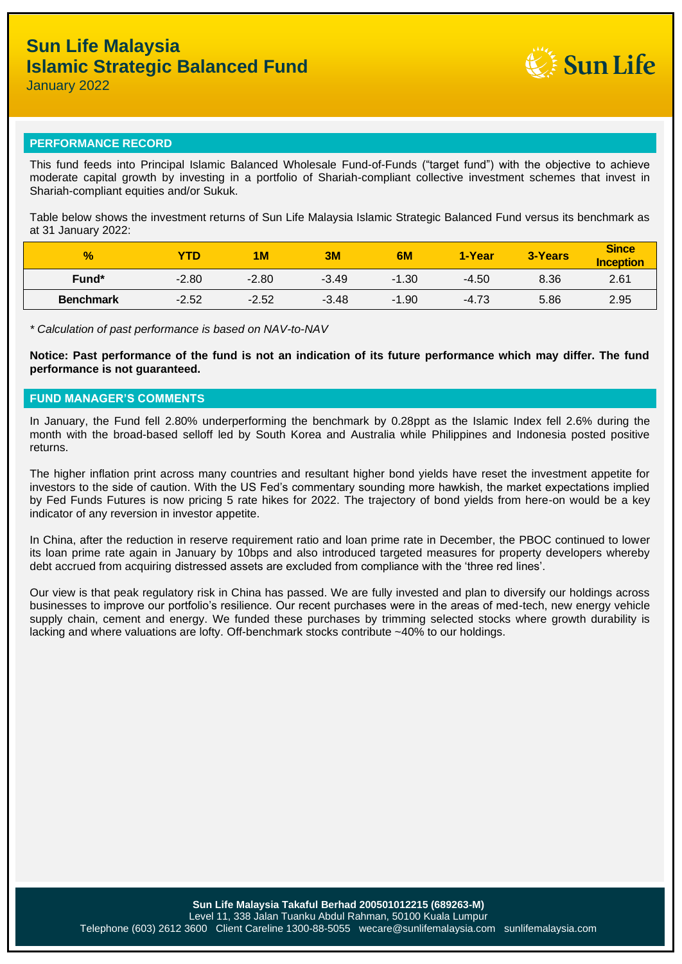

January 2022

### **PERFORMANCE RECORD**

This fund feeds into Principal Islamic Balanced Wholesale Fund-of-Funds ("target fund") with the objective to achieve moderate capital growth by investing in a portfolio of Shariah-compliant collective investment schemes that invest in Shariah-compliant equities and/or Sukuk.

Table below shows the investment returns of Sun Life Malaysia Islamic Strategic Balanced Fund versus its benchmark as at 31 January 2022:

| $\frac{1}{2}$    | <b>YTD</b> | 1M      | 3M      | 6M      | 1-Year  | 3-Years | <b>Since</b><br><b>Inception</b> |
|------------------|------------|---------|---------|---------|---------|---------|----------------------------------|
| Fund*            | $-2.80$    | $-2.80$ | $-3.49$ | -1.30   | $-4.50$ | 8.36    | 2.61                             |
| <b>Benchmark</b> | $-2.52$    | $-2.52$ | $-3.48$ | $-1.90$ | $-4.73$ | 5.86    | 2.95                             |

*\* Calculation of past performance is based on NAV-to-NAV*

**Notice: Past performance of the fund is not an indication of its future performance which may differ. The fund performance is not guaranteed.**

## **FUND MANAGER'S COMMENTS**

In January, the Fund fell 2.80% underperforming the benchmark by 0.28ppt as the Islamic Index fell 2.6% during the month with the broad-based selloff led by South Korea and Australia while Philippines and Indonesia posted positive returns.

The higher inflation print across many countries and resultant higher bond yields have reset the investment appetite for investors to the side of caution. With the US Fed's commentary sounding more hawkish, the market expectations implied by Fed Funds Futures is now pricing 5 rate hikes for 2022. The trajectory of bond yields from here-on would be a key indicator of any reversion in investor appetite.

In China, after the reduction in reserve requirement ratio and loan prime rate in December, the PBOC continued to lower its loan prime rate again in January by 10bps and also introduced targeted measures for property developers whereby debt accrued from acquiring distressed assets are excluded from compliance with the 'three red lines'.

Our view is that peak regulatory risk in China has passed. We are fully invested and plan to diversify our holdings across businesses to improve our portfolio's resilience. Our recent purchases were in the areas of med-tech, new energy vehicle supply chain, cement and energy. We funded these purchases by trimming selected stocks where growth durability is lacking and where valuations are lofty. Off-benchmark stocks contribute ~40% to our holdings.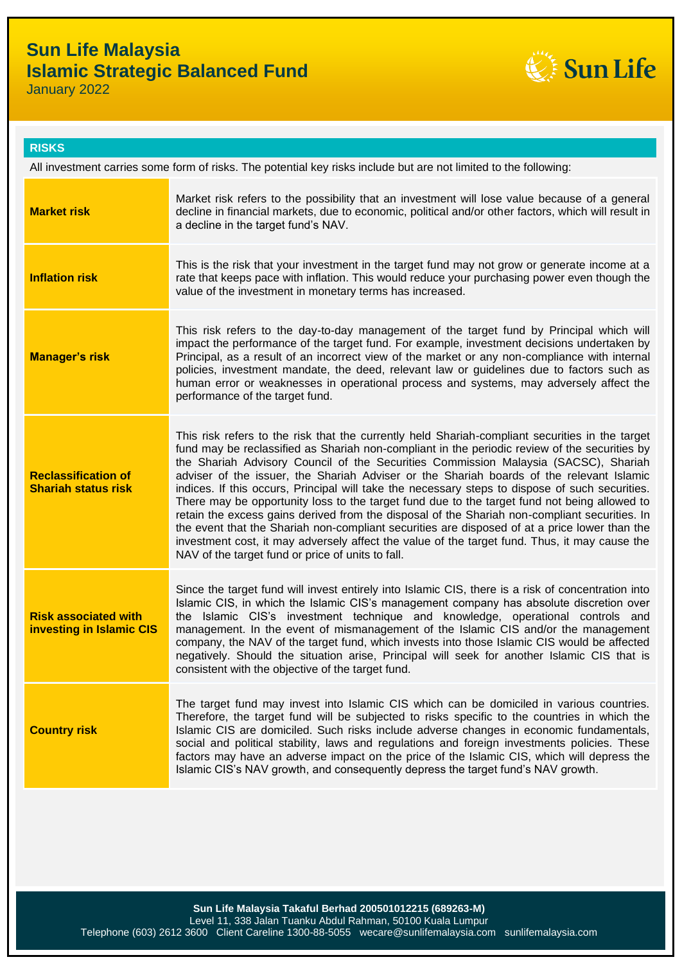## **Sun Life Malaysia Islamic Strategic Balanced Fund**



January 2022

**RISKS**

| All investment carries some form of risks. The potential key risks include but are not limited to the following: |                                                                                                                                                                                                                                                                                                                                                                                                                                                                                                                                                                                                                                                                                                                                                                                                                                                                                                                                                |  |
|------------------------------------------------------------------------------------------------------------------|------------------------------------------------------------------------------------------------------------------------------------------------------------------------------------------------------------------------------------------------------------------------------------------------------------------------------------------------------------------------------------------------------------------------------------------------------------------------------------------------------------------------------------------------------------------------------------------------------------------------------------------------------------------------------------------------------------------------------------------------------------------------------------------------------------------------------------------------------------------------------------------------------------------------------------------------|--|
| <b>Market risk</b>                                                                                               | Market risk refers to the possibility that an investment will lose value because of a general<br>decline in financial markets, due to economic, political and/or other factors, which will result in<br>a decline in the target fund's NAV.                                                                                                                                                                                                                                                                                                                                                                                                                                                                                                                                                                                                                                                                                                    |  |
| <b>Inflation risk</b>                                                                                            | This is the risk that your investment in the target fund may not grow or generate income at a<br>rate that keeps pace with inflation. This would reduce your purchasing power even though the<br>value of the investment in monetary terms has increased.                                                                                                                                                                                                                                                                                                                                                                                                                                                                                                                                                                                                                                                                                      |  |
| <b>Manager's risk</b>                                                                                            | This risk refers to the day-to-day management of the target fund by Principal which will<br>impact the performance of the target fund. For example, investment decisions undertaken by<br>Principal, as a result of an incorrect view of the market or any non-compliance with internal<br>policies, investment mandate, the deed, relevant law or guidelines due to factors such as<br>human error or weaknesses in operational process and systems, may adversely affect the<br>performance of the target fund.                                                                                                                                                                                                                                                                                                                                                                                                                              |  |
| <b>Reclassification of</b><br><b>Shariah status risk</b>                                                         | This risk refers to the risk that the currently held Shariah-compliant securities in the target<br>fund may be reclassified as Shariah non-compliant in the periodic review of the securities by<br>the Shariah Advisory Council of the Securities Commission Malaysia (SACSC), Shariah<br>adviser of the issuer, the Shariah Adviser or the Shariah boards of the relevant Islamic<br>indices. If this occurs, Principal will take the necessary steps to dispose of such securities.<br>There may be opportunity loss to the target fund due to the target fund not being allowed to<br>retain the excess gains derived from the disposal of the Shariah non-compliant securities. In<br>the event that the Shariah non-compliant securities are disposed of at a price lower than the<br>investment cost, it may adversely affect the value of the target fund. Thus, it may cause the<br>NAV of the target fund or price of units to fall. |  |
| <b>Risk associated with</b><br><b>investing in Islamic CIS</b>                                                   | Since the target fund will invest entirely into Islamic CIS, there is a risk of concentration into<br>Islamic CIS, in which the Islamic CIS's management company has absolute discretion over<br>the Islamic CIS's investment technique and knowledge, operational controls and<br>management. In the event of mismanagement of the Islamic CIS and/or the management<br>company, the NAV of the target fund, which invests into those Islamic CIS would be affected<br>negatively. Should the situation arise, Principal will seek for another Islamic CIS that is<br>consistent with the objective of the target fund.                                                                                                                                                                                                                                                                                                                       |  |
| <b>Country risk</b>                                                                                              | The target fund may invest into Islamic CIS which can be domiciled in various countries.<br>Therefore, the target fund will be subjected to risks specific to the countries in which the<br>Islamic CIS are domiciled. Such risks include adverse changes in economic fundamentals,<br>social and political stability, laws and regulations and foreign investments policies. These<br>factors may have an adverse impact on the price of the Islamic CIS, which will depress the<br>Islamic CIS's NAV growth, and consequently depress the target fund's NAV growth.                                                                                                                                                                                                                                                                                                                                                                          |  |